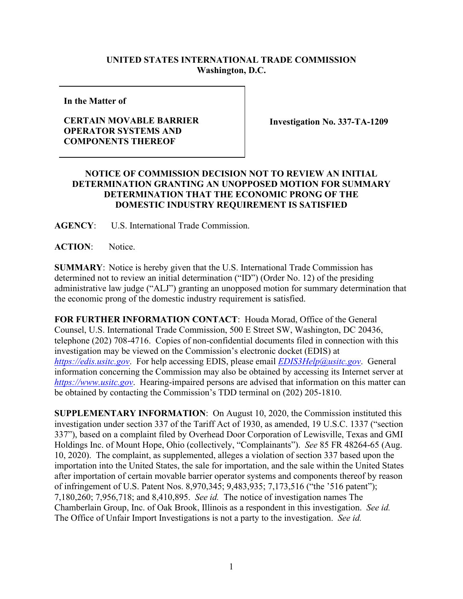## **UNITED STATES INTERNATIONAL TRADE COMMISSION Washington, D.C.**

**In the Matter of**

## **CERTAIN MOVABLE BARRIER OPERATOR SYSTEMS AND COMPONENTS THEREOF**

**Investigation No. 337-TA-1209**

## **NOTICE OF COMMISSION DECISION NOT TO REVIEW AN INITIAL DETERMINATION GRANTING AN UNOPPOSED MOTION FOR SUMMARY DETERMINATION THAT THE ECONOMIC PRONG OF THE DOMESTIC INDUSTRY REQUIREMENT IS SATISFIED**

**AGENCY**: U.S. International Trade Commission.

**ACTION**: Notice.

**SUMMARY**: Notice is hereby given that the U.S. International Trade Commission has determined not to review an initial determination ("ID") (Order No. 12) of the presiding administrative law judge ("ALJ") granting an unopposed motion for summary determination that the economic prong of the domestic industry requirement is satisfied.

**FOR FURTHER INFORMATION CONTACT**: Houda Morad, Office of the General Counsel, U.S. International Trade Commission, 500 E Street SW, Washington, DC 20436, telephone (202) 708-4716. Copies of non-confidential documents filed in connection with this investigation may be viewed on the Commission's electronic docket (EDIS) at *[https://edis.usitc.gov](https://edis.usitc.gov/)*. For help accessing EDIS, please email *[EDIS3Help@usitc.gov](mailto:EDIS3Help@usitc.gov)*. General information concerning the Commission may also be obtained by accessing its Internet server at *[https://www.usitc.gov](https://www.usitc.gov/)*. Hearing-impaired persons are advised that information on this matter can be obtained by contacting the Commission's TDD terminal on (202) 205-1810.

**SUPPLEMENTARY INFORMATION**: On August 10, 2020, the Commission instituted this investigation under section 337 of the Tariff Act of 1930, as amended, 19 U.S.C. 1337 ("section 337"), based on a complaint filed by Overhead Door Corporation of Lewisville, Texas and GMI Holdings Inc. of Mount Hope, Ohio (collectively, "Complainants"). *See* 85 FR 48264-65 (Aug. 10, 2020). The complaint, as supplemented, alleges a violation of section 337 based upon the importation into the United States, the sale for importation, and the sale within the United States after importation of certain movable barrier operator systems and components thereof by reason of infringement of U.S. Patent Nos. 8,970,345; 9,483,935; 7,173,516 ("the '516 patent"); 7,180,260; 7,956,718; and 8,410,895. *See id.* The notice of investigation names The Chamberlain Group, Inc. of Oak Brook, Illinois as a respondent in this investigation. *See id.* The Office of Unfair Import Investigations is not a party to the investigation. *See id.*